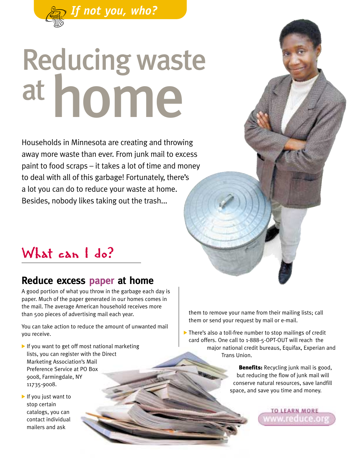

# home Reducing waste at

Households in Minnesota are creating and throwing away more waste than ever. From junk mail to excess paint to food scraps – it takes a lot of time and money to deal with all of this garbage! Fortunately, there's a lot you can do to reduce your waste at home. Besides, nobody likes taking out the trash...

### What can I do?

#### **Reduce excess paper at home**

A good portion of what you throw in the garbage each day is paper. Much of the paper generated in our homes comes in the mail. The average American household receives more than 500 pieces of advertising mail each year.

You can take action to reduce the amount of unwanted mail you receive.

- If you want to get off most national marketing lists, you can register with the Direct Marketing Association's Mail Preference Service at PO Box 9008, Farmingdale, NY 11735-9008.
- If you just want to stop certain catalogs, you can contact individual mailers and ask

them to remove your name from their mailing lists; call them or send your request by mail or e-mail.

• There's also a toll-free number to stop mailings of credit card offers. One call to 1-888-5-OPT-OUT will reach the major national credit bureaus, Equifax, Experian and Trans Union.

> **Benefits:** Recycling junk mail is good, but reducing the flow of junk mail will conserve natural resources, save landfill space, and save you time and money.

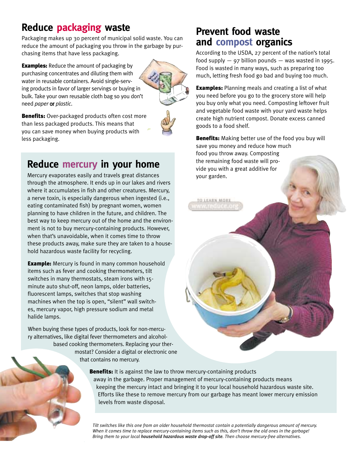#### **Reduce packaging waste**

Packaging makes up 30 percent of municipal solid waste. You can reduce the amount of packaging you throw in the garbage by purchasing items that have less packaging.

**Examples:** Reduce the amount of packaging by purchasing concentrates and diluting them with water in reusable containers. Avoid single-serving products in favor of larger servings or buying in bulk. Take your own reusable cloth bag so you don't need *paper* or *plastic*.



**Benefits:** Over-packaged products often cost more than less packaged products. This means that you can save money when buying products with less packaging.

#### **Reduce mercury in your home**

Mercury evaporates easily and travels great distances through the atmosphere. It ends up in our lakes and rivers where it accumulates in fish and other creatures. Mercury, a nerve toxin, is especially dangerous when ingested (i.e., eating contaminated fish) by pregnant women, women planning to have children in the future, and children. The best way to keep mercury out of the home and the environment is not to buy mercury-containing products. However, when that's unavoidable, when it comes time to throw these products away, make sure they are taken to a household hazardous waste facility for recycling.

**Example:** Mercury is found in many common household items such as fever and cooking thermometers, tilt switches in many thermostats, steam irons with 15 minute auto shut-off, neon lamps, older batteries, fluorescent lamps, switches that stop washing machines when the top is open, "silent" wall switches, mercury vapor, high pressure sodium and metal halide lamps.

When buying these types of products, look for non-mercury alternatives, like digital fever thermometers and alcoholbased cooking thermometers. Replacing your thermostat? Consider a digital or electronic one that contains no mercury.

> **Benefits:** It is against the law to throw mercury-containing products away in the garbage. Proper management of mercury-containing products means keeping the mercury intact and bringing it to your local household hazardous waste site. Efforts like these to remove mercury from our garbage has meant lower mercury emission levels from waste disposal.

O LEARN MORE

*Tilt switches like this one from an older household thermostat contain a potentially dangerous amount of mercury. When it comes time to replace mercury-containing items such as this, don't throw the old ones in the garbage! Bring them to your local household hazardous waste drop-off site. Then choose mercury-free alternatives.*

#### **Prevent food waste and compost organics**

According to the USDA, 27 percent of the nation's total food supply  $-$  97 billion pounds  $-$  was wasted in 1995. Food is wasted in many ways, such as preparing too much, letting fresh food go bad and buying too much.

**Examples:** Planning meals and creating a list of what you need before you go to the grocery store will help you buy only what you need. Composting leftover fruit and vegetable food waste with your yard waste helps create high nutrient compost. Donate excess canned goods to a food shelf.

**Benefits:** Making better use of the food you buy will save you money and reduce how much food you throw away. Composting the remaining food waste will provide you with a great additive for your garden.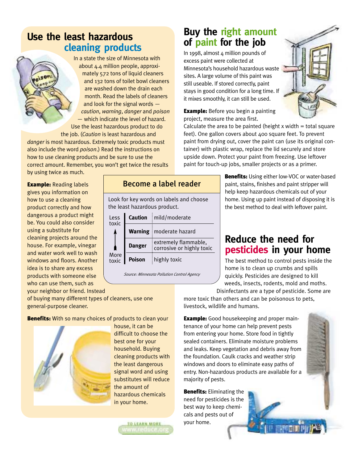#### **Use the least hazardous cleaning products**

In a state the size of Minnesota with about 4.4 million people, approximately 572 tons of liquid cleaners and 132 tons of toilet bowl cleaners are washed down the drain each month. Read the labels of cleaners and look for the signal words *caution*, *warning*, *danger* and *poison* — which indicate the level of hazard. Use the least hazardous product to do the job. (*Caution* is least hazardous and

*danger* is most hazardous. Extremely toxic products must also include the word *poison*.) Read the instructions on how to use cleaning products and be sure to use the correct amount. Remember, you won't get twice the results by using twice as much.

> Less toxic

More toxic

**Example: Reading labels** gives you information on how to use a cleaning product correctly and how dangerous a product might be. You could also consider using a substitute for cleaning projects around the house. For example, vinegar and water work well to wash windows and floors. Another idea is to share any excess products with someone else who can use them, such as your neighbor or friend. Instead

of buying many different types of cleaners, use one general-purpose cleaner.

**Benefits:** With so many choices of products to clean your



house, it can be difficult to choose the best one for your household. Buying cleaning products with the least dangerous signal word and using substitutes will reduce the amount of hazardous chemicals in your home.

Look for key words on labels and choose

Become a label reader

mild/moderate

moderate hazard

extremely flammable, corrosive or highly toxic

*Source: Minnesota Pollution Control Agency*

highly toxic

the least hazardous product.

**Caution**

**Warning**

**Danger**

**Poison**

**TO LEARN MORE** 

#### **Buy the right amount of paint for the job**

In 1998, almost 4 million pounds of excess paint were collected at Minnesota's household hazardous waste sites. A large volume of this paint was still useable. If stored correctly, paint stays in good condition for a long time. If it mixes smoothly, it can still be used.

**Example:** Before you begin a painting project, measure the area first.

Calculate the area to be painted (height  $x$  width = total square feet). One gallon covers about 400 square feet. To prevent paint from drying out, cover the paint can (use its original container) with plastic wrap, replace the lid securely and store upside down. Protect your paint from freezing. Use leftover paint for touch-up jobs, smaller projects or as a primer.

> **Benefits:** Using either low-VOC or water-based paint, stains, finishes and paint stripper will help keep hazardous chemicals out of your home. Using up paint instead of disposing it is the best method to deal with leftover paint.

#### **Reduce the need for pesticides in your home**

The best method to control pests inside the home is to clean up crumbs and spills quickly. Pesticides are designed to kill weeds, insects, rodents, mold and moths. Disinfectants are a type of pesticide. Some are

more toxic than others and can be poisonous to pets, livestock, wildlife and humans.

**Example:** Good housekeeping and proper maintenance of your home can help prevent pests from entering your home. Store food in tightly sealed containers. Eliminate moisture problems and leaks. Keep vegetation and debris away from the foundation. Caulk cracks and weather strip windows and doors to eliminate easy paths of entry. Non-hazardous products are available for a majority of pests.

**Benefits:** Eliminating the need for pesticides is the best way to keep chemiyour home.



cals and pests out of